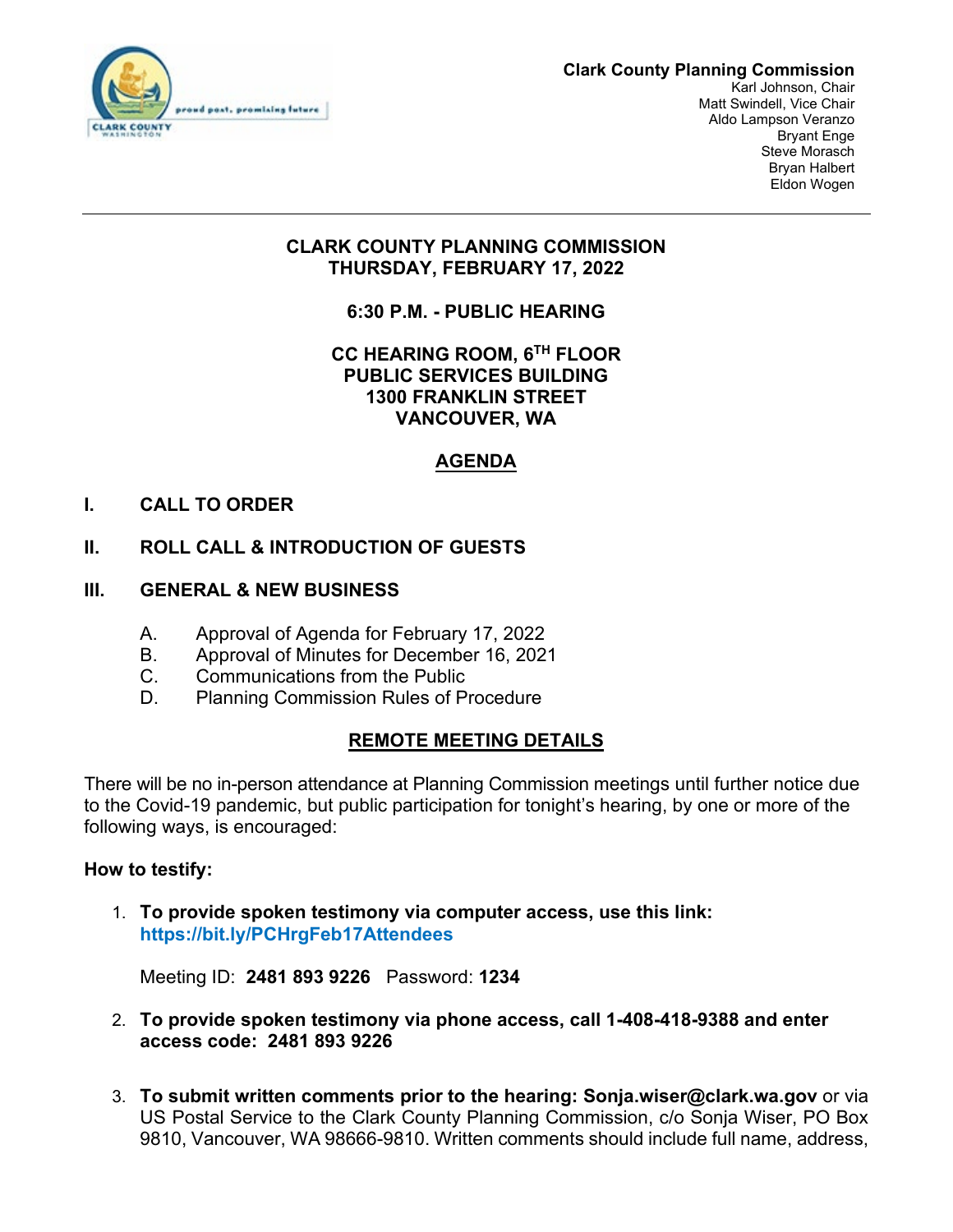

#### **Clark County Planning Commission**

Karl Johnson, Chair Matt Swindell, Vice Chair Aldo Lampson Veranzo Bryant Enge Steve Morasch Bryan Halbert Eldon Wogen

# **CLARK COUNTY PLANNING COMMISSION THURSDAY, FEBRUARY 17, 2022**

**6:30 P.M. - PUBLIC HEARING** 

# **CC HEARING ROOM, 6TH FLOOR PUBLIC SERVICES BUILDING 1300 FRANKLIN STREET VANCOUVER, WA**

# **AGENDA**

# **I. CALL TO ORDER**

# **II. ROLL CALL & INTRODUCTION OF GUESTS**

- **III. GENERAL & NEW BUSINESS**
	- A. Approval of Agenda for February 17, 2022
	- B. Approval of Minutes for December 16, 2021
	- C. Communications from the Public
	- D. Planning Commission Rules of Procedure

# **REMOTE MEETING DETAILS**

There will be no in-person attendance at Planning Commission meetings until further notice due to the Covid-19 pandemic, but public participation for tonight's hearing, by one or more of the following ways, is encouraged:

### **How to testify:**

1. **To provide spoken testimony via computer access, use this link: <https://bit.ly/PCHrgFeb17Attendees>**

Meeting ID: **2481 893 9226** Password: **1234**

- 2. **To provide spoken testimony via phone access, call 1-408-418-9388 and enter access code: 2481 893 9226**
- 3. **To submit written comments prior to the hearing: Sonja.wiser@clark.wa.gov** or via US Postal Service to the Clark County Planning Commission, c/o Sonja Wiser, PO Box 9810, Vancouver, WA 98666-9810. Written comments should include full name, address,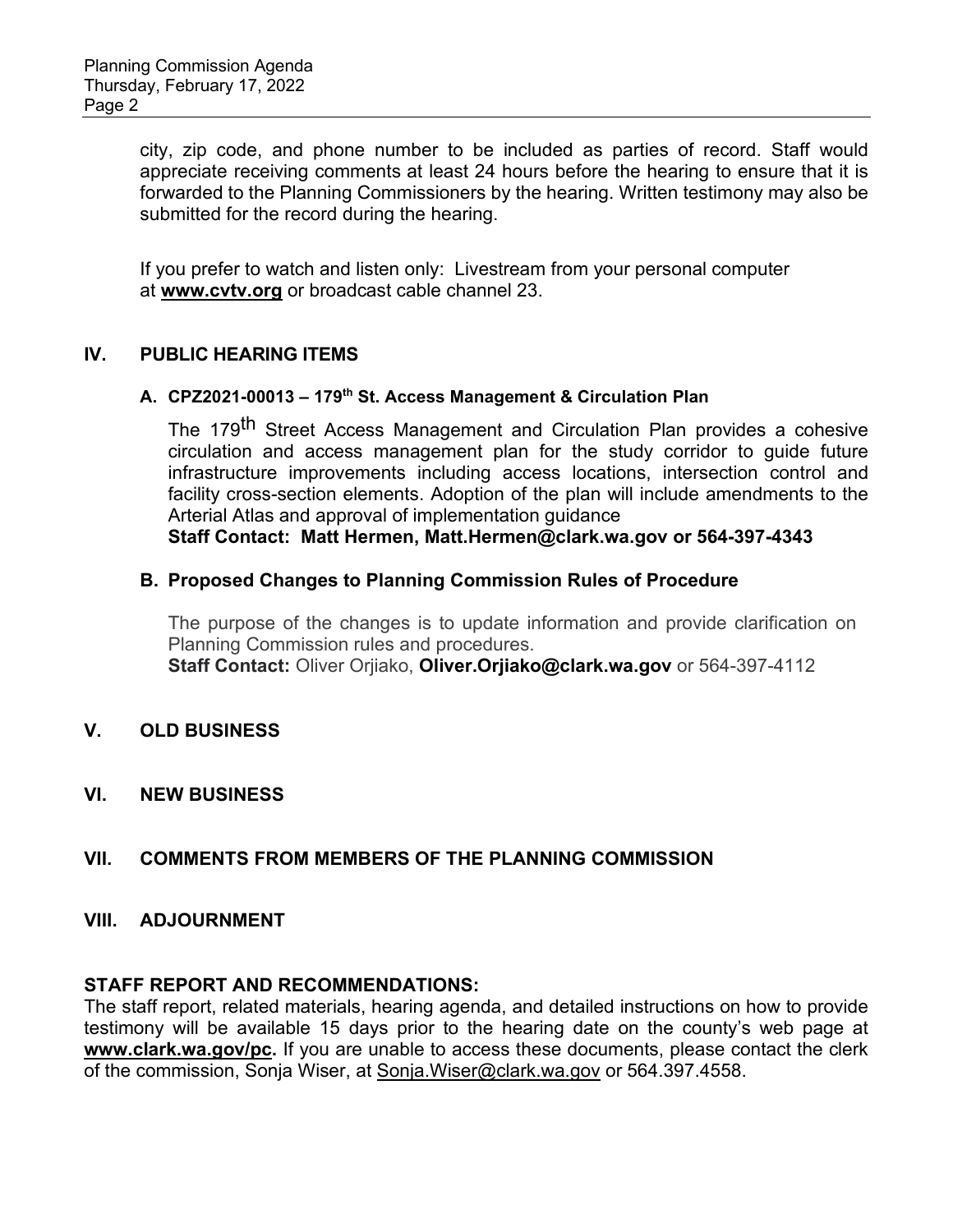city, zip code, and phone number to be included as parties of record. Staff would appreciate receiving comments at least 24 hours before the hearing to ensure that it is forwarded to the Planning Commissioners by the hearing. Written testimony may also be submitted for the record during the hearing.

If you prefer to watch and listen only:Livestream from your personal computer at **[www.cvtv.org](http://www.cvtv.org/)** or broadcast cable channel 23.

### **IV. PUBLIC HEARING ITEMS**

#### **A. CPZ2021-00013 – 179th St. Access Management & Circulation Plan**

The 179<sup>th</sup> Street Access Management and Circulation Plan provides a cohesive circulation and access management plan for the study corridor to guide future infrastructure improvements including access locations, intersection control and facility cross-section elements. Adoption of the plan will include amendments to the Arterial Atlas and approval of implementation guidance

**Staff Contact: Matt Hermen, [Matt.Hermen@clark.wa.gov](mailto:Matt.Hermen@clark.wa.gov) or 564-397-4343**

### **B. Proposed Changes to Planning Commission Rules of Procedure**

The purpose of the changes is to update information and provide clarification on Planning Commission rules and procedures. **Staff Contact:** Oliver Orjiako, **[Oliver.Orjiako@clark.wa.gov](mailto:Oliver.Orjiako@clark.wa.gov)** or 564-397-4112

## **V. OLD BUSINESS**

**VI. NEW BUSINESS** 

# **VII. COMMENTS FROM MEMBERS OF THE PLANNING COMMISSION**

### **VIII. ADJOURNMENT**

### **STAFF REPORT AND RECOMMENDATIONS:**

The staff report, related materials, hearing agenda, and detailed instructions on how to provide testimony will be available 15 days prior to the hearing date on the county's web page at **[www.clark.wa.gov/pc.](https://gcc02.safelinks.protection.outlook.com/?url=http%3A%2F%2Fwww.clark.wa.gov%2Fpc&data=02%7C01%7CSharon.Lumbantobing%40clark.wa.gov%7Cbedd6cb53948469812e408d821d55f47%7C389c6904b0734843a92d4a72a350cf02%7C1%7C0%7C637296547591153796&sdata=v18D1SjhpqHDY8hmfIxozwymQU6mCO%2BFA00lXkoxZOk%3D&reserved=0)** If you are unable to access these documents, please contact the clerk of the commission, Sonja Wiser, at [Sonja.Wiser@clark.wa.gov](mailto:Sonja.Wiser@clark.wa.gove) or 564.397.4558.